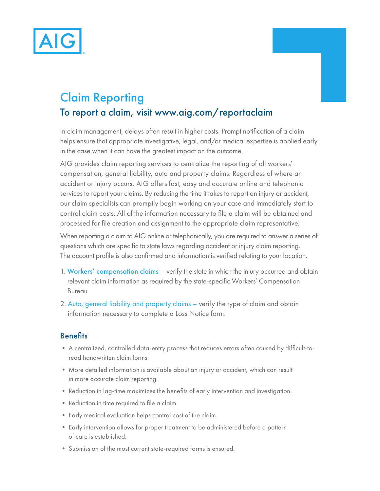

# Claim Reporting To report a claim, visit www.aig.com/reportaclaim

In claim management, delays often result in higher costs. Prompt notifcation of a claim helps ensure that appropriate investigative, legal, and/or medical expertise is applied early in the case when it can have the greatest impact on the outcome.

AIG provides claim reporting services to centralize the reporting of all workers' compensation, general liability, auto and property claims. Regardless of where an accident or injury occurs, AIG offers fast, easy and accurate online and telephonic services to report your claims. By reducing the time it takes to report an injury or accident, our claim specialists can promptly begin working on your case and immediately start to control claim costs. All of the information necessary to fle a claim will be obtained and processed for fle creation and assignment to the appropriate claim representative.

When reporting a claim to AIG online or telephonically, you are required to answer a series of questions which are specifc to state laws regarding accident or injury claim reporting. The account profle is also confrmed and information is verifed relating to your location.

- 1. Workers' compensation claims verify the state in which the injury occurred and obtain relevant claim information as required by the state-specifc Workers' Compensation Bureau.
- 2. Auto, general liability and property claims verify the type of claim and obtain information necessary to complete a Loss Notice form.

## **Benefits**

- A centralized, controlled data-entry process that reduces errors often caused by diffcult-toread handwritten claim forms.
- More detailed information is available about an injury or accident, which can result in more accurate claim reporting.
- Reduction in lag-time maximizes the benefts of early intervention and investigation.
- Reduction in time required to fle a claim.
- Early medical evaluation helps control cost of the claim.
- Early intervention allows for proper treatment to be administered before a pattern of care is established.
- Submission of the most current state-required forms is ensured.